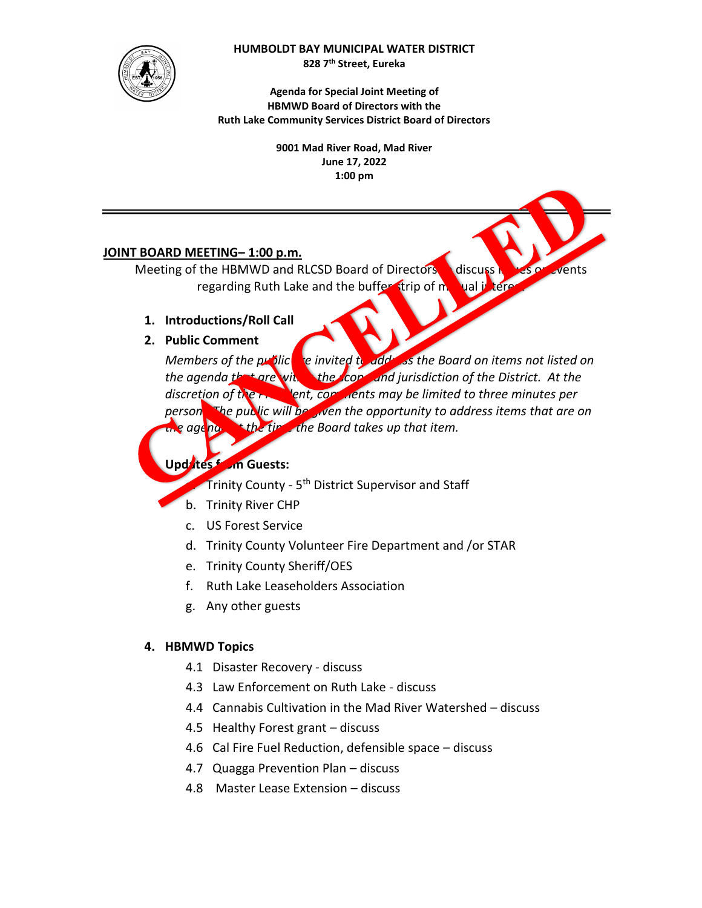

#### **HUMBOLDT BAY MUNICIPAL WATER DISTRICT**

**828 7th Street, Eureka** 

**Agenda for Special Joint Meeting of HBMWD Board of Directors with the Ruth Lake Community Services District Board of Directors** 

> **9001 Mad River Road, Mad River June 17, 2022 1:00 pm**

### **JOINT BOARD MEETING– 1:00 p.m.**

Meeting of the HBMWD and RLCSD Board of Directors discuss is vesicle events regarding Ruth Lake and the buffer strip of mutual interest

- **1. Introductions/Roll Call**
- **2. Public Comment**

*Members of the public*  $\alpha$  *invited to add* as the Board on items not listed on the agenda that are with the containd jurisdiction of the District. At the discretion of the President, comments may be limited to three minutes per *person. The public will be given the opportunity to address items that are on the agenda at the time the Board takes up that item.*

**Updates from Guests:** 

**Trinity County -**  $5<sup>th</sup>$  **District Supervisor and Staff** 

- b. Trinity River CHP
- c. US Forest Service
- d. Trinity County Volunteer Fire Department and /or STAR
- e. Trinity County Sheriff/OES
- f. Ruth Lake Leaseholders Association
- g. Any other guests

# **4. HBMWD Topics**

- 4.1 Disaster Recovery discuss
- 4.3 Law Enforcement on Ruth Lake discuss
- 4.4 Cannabis Cultivation in the Mad River Watershed discuss
- 4.5 Healthy Forest grant discuss
- 4.6 Cal Fire Fuel Reduction, defensible space discuss
- 4.7 Quagga Prevention Plan discuss
- 4.8 Master Lease Extension discuss